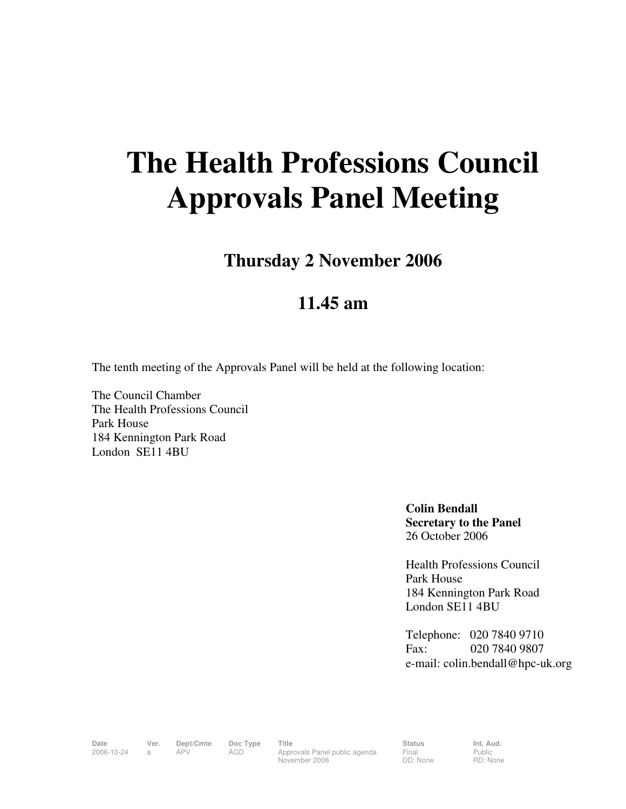# **The Health Professions Council Approvals Panel Meeting**

**Thursday 2 November 2006** 

## **11.45 am**

The tenth meeting of the Approvals Panel will be held at the following location:

The Council Chamber The Health Professions Council Park House 184 Kennington Park Road London SE11 4BU

> **Colin Bendall Secretary to the Panel**  26 October 2006

Health Professions Council Park House 184 Kennington Park Road London SE11 4BU

Telephone: 020 7840 9710 Fax: 020 7840 9807 e-mail: colin.bendall@hpc-uk.org

Date Ver. Dept/Cmte Doc<sup>Type</sup> Title Status Status Int. Aud. 2006-10-24 a APV AGD Approvals Panel public agenda November 2006

Final DD: None Public RD: None